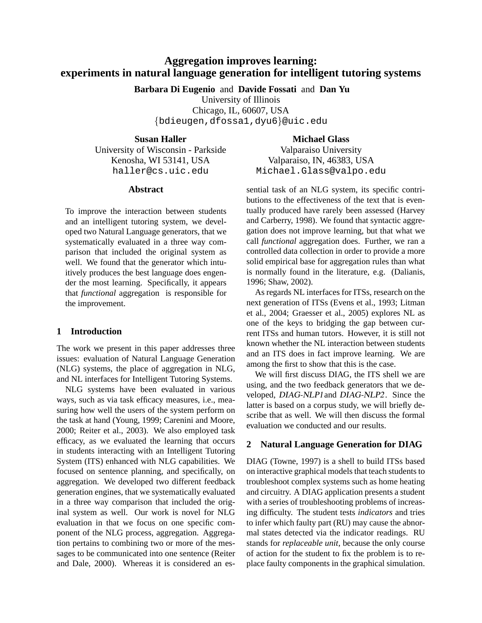# **Aggregation improves learning: experiments in natural language generation for intelligent tutoring systems**

**Barbara Di Eugenio** and **Davide Fossati** and **Dan Yu**

University of Illinois

Chicago, IL, 60607, USA {bdieugen,dfossa1,dyu6}@uic.edu

**Susan Haller**

University of Wisconsin - Parkside Kenosha, WI 53141, USA haller@cs.uic.edu

## **Abstract**

To improve the interaction between students and an intelligent tutoring system, we developed two Natural Language generators, that we systematically evaluated in a three way comparison that included the original system as well. We found that the generator which intuitively produces the best language does engender the most learning. Specifically, it appears that *functional* aggregation is responsible for the improvement.

# **1 Introduction**

The work we present in this paper addresses three issues: evaluation of Natural Language Generation (NLG) systems, the place of aggregation in NLG, and NL interfaces for Intelligent Tutoring Systems.

NLG systems have been evaluated in various ways, such as via task efficacy measures, i.e., measuring how well the users of the system perform on the task at hand (Young, 1999; Carenini and Moore, 2000; Reiter et al., 2003). We also employed task efficacy, as we evaluated the learning that occurs in students interacting with an Intelligent Tutoring System (ITS) enhanced with NLG capabilities. We focused on sentence planning, and specifically, on aggregation. We developed two different feedback generation engines, that we systematically evaluated in a three way comparison that included the original system as well. Our work is novel for NLG evaluation in that we focus on one specific component of the NLG process, aggregation. Aggregation pertains to combining two or more of the messages to be communicated into one sentence (Reiter and Dale, 2000). Whereas it is considered an es**Michael Glass**

Valparaiso University Valparaiso, IN, 46383, USA Michael.Glass@valpo.edu

sential task of an NLG system, its specific contributions to the effectiveness of the text that is eventually produced have rarely been assessed (Harvey and Carberry, 1998). We found that syntactic aggregation does not improve learning, but that what we call *functional* aggregation does. Further, we ran a controlled data collection in order to provide a more solid empirical base for aggregation rules than what is normally found in the literature, e.g. (Dalianis, 1996; Shaw, 2002).

As regards NL interfaces for ITSs, research on the next generation of ITSs (Evens et al., 1993; Litman et al., 2004; Graesser et al., 2005) explores NL as one of the keys to bridging the gap between current ITSs and human tutors. However, it is still not known whether the NL interaction between students and an ITS does in fact improve learning. We are among the first to show that this is the case.

We will first discuss DIAG, the ITS shell we are using, and the two feedback generators that we developed, DIAG-NLP1and DIAG-NLP2. Since the latter is based on a corpus study, we will briefly describe that as well. We will then discuss the formal evaluation we conducted and our results.

# **2 Natural Language Generation for DIAG**

DIAG (Towne, 1997) is a shell to build ITSs based on interactive graphical models that teach students to troubleshoot complex systems such as home heating and circuitry. A DIAG application presents a student with a series of troubleshooting problems of increasing difficulty. The student tests *indicators* and tries to infer which faulty part (RU) may cause the abnormal states detected via the indicator readings. RU stands for *replaceable unit*, because the only course of action for the student to fix the problem is to replace faulty components in the graphical simulation.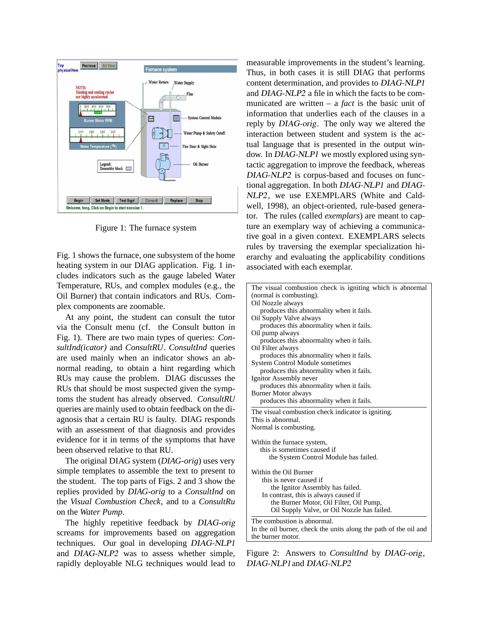

Figure 1: The furnace system

Fig. 1 shows the furnace, one subsystem of the home heating system in our DIAG application. Fig. 1 includes indicators such as the gauge labeled Water Temperature, RUs, and complex modules (e.g., the Oil Burner) that contain indicators and RUs. Complex components are zoomable.

At any point, the student can consult the tutor via the Consult menu (cf. the Consult button in Fig. 1). There are two main types of queries: *ConsultInd(icator)* and *ConsultRU*. *ConsultInd* queries are used mainly when an indicator shows an abnormal reading, to obtain a hint regarding which RUs may cause the problem. DIAG discusses the RUs that should be most suspected given the symptoms the student has already observed. *ConsultRU* queries are mainly used to obtain feedback on the diagnosis that a certain RU is faulty. DIAG responds with an assessment of that diagnosis and provides evidence for it in terms of the symptoms that have been observed relative to that RU.

The original DIAG system (*DIAG-orig*) uses very simple templates to assemble the text to present to the student. The top parts of Figs. 2 and 3 show the replies provided by *DIAG-orig* to a *ConsultInd* on the *Visual Combustion Check*, and to a *ConsultRu* on the *Water Pump*.

The highly repetitive feedback by DIAG-orig screams for improvements based on aggregation techniques. Our goal in developing DIAG-NLP1 and DIAG-NLP2 was to assess whether simple, rapidly deployable NLG techniques would lead to

measurable improvements in the student's learning. Thus, in both cases it is still DIAG that performs content determination, and provides to DIAG-NLP1 and DIAG-NLP2 a file in which the facts to be communicated are written – a *fact* is the basic unit of information that underlies each of the clauses in a reply by DIAG-orig. The only way we altered the interaction between student and system is the actual language that is presented in the output window. In DIAG-NLP1 we mostly explored using syntactic aggregation to improve the feedback, whereas DIAG-NLP2 is corpus-based and focuses on functional aggregation. In both DIAG-NLP1 and DIAG-NLP2, we use EXEMPLARS (White and Caldwell, 1998), an object-oriented, rule-based generator. The rules (called *exemplars*) are meant to capture an exemplary way of achieving a communicative goal in a given context. EXEMPLARS selects rules by traversing the exemplar specialization hierarchy and evaluating the applicability conditions associated with each exemplar.

| The visual combustion check is igniting which is abnormal<br>(normal is combusting). |
|--------------------------------------------------------------------------------------|
| Oil Nozzle always                                                                    |
| produces this abnormality when it fails.                                             |
| Oil Supply Valve always                                                              |
| produces this abnormality when it fails.                                             |
| Oil pump always                                                                      |
| produces this abnormality when it fails.                                             |
| Oil Filter always                                                                    |
| produces this abnormality when it fails.                                             |
| <b>System Control Module sometimes</b>                                               |
| produces this abnormality when it fails.                                             |
| Ignitor Assembly never                                                               |
| produces this abnormality when it fails.                                             |
| <b>Burner Motor always</b>                                                           |
| produces this abnormality when it fails.                                             |
| The visual combustion check indicator is igniting.                                   |
| This is abnormal.                                                                    |
| Normal is combusting.                                                                |
|                                                                                      |
| Within the furnace system,                                                           |
| this is sometimes caused if                                                          |
| the System Control Module has failed.                                                |
|                                                                                      |
| Within the Oil Burner                                                                |
| this is never caused if                                                              |
| the Ignitor Assembly has failed.                                                     |
| In contrast, this is always caused if                                                |
| the Burner Motor, Oil Filter, Oil Pump,                                              |
| Oil Supply Valve, or Oil Nozzle has failed.                                          |
| The combustion is abnormal.                                                          |
| In the oil burner, check the units along the path of the oil and                     |
| the burner motor.                                                                    |
|                                                                                      |

Figure 2: Answers to *ConsultInd* by DIAG-orig, DIAG-NLP1and DIAG-NLP2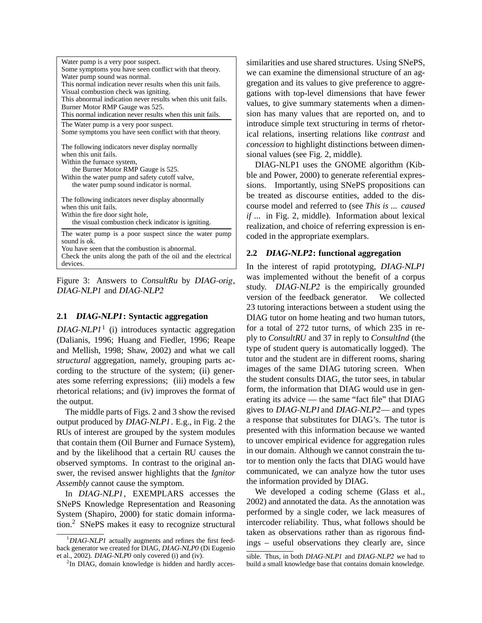| Water pump is a very poor suspect.                           |
|--------------------------------------------------------------|
| Some symptoms you have seen conflict with that theory.       |
| Water pump sound was normal.                                 |
| This normal indication never results when this unit fails.   |
| Visual combustion check was igniting.                        |
| This abnormal indication never results when this unit fails. |
| Burner Motor RMP Gauge was 525.                              |
| This normal indication never results when this unit fails.   |
| The Water pump is a very poor suspect.                       |
| Some symptoms you have seen conflict with that theory.       |
|                                                              |
| The following indicators never display normally              |
| when this unit fails.                                        |
| Within the furnace system,                                   |
| the Burner Motor RMP Gauge is 525.                           |
| Within the water pump and safety cutoff valve,               |
| the water pump sound indicator is normal.                    |
|                                                              |
| The following indicators never display abnormally            |
| when this unit fails.                                        |
| Within the fire door sight hole,                             |
| the visual combustion check indicator is igniting.           |
| The water pump is a poor suspect since the water pump        |
| sound is ok.                                                 |
| You have seen that the combustion is abnormal.               |
| Check the units along the path of the oil and the electrical |
| devices.                                                     |

Figure 3: Answers to *ConsultRu* by DIAG-orig, DIAG-NLP1 and DIAG-NLP2

### **2.1** DIAG-NLP1**: Syntactic aggregation**

 $DIAG-NLPI<sup>1</sup>$  (i) introduces syntactic aggregation (Dalianis, 1996; Huang and Fiedler, 1996; Reape and Mellish, 1998; Shaw, 2002) and what we call *structural* aggregation, namely, grouping parts according to the structure of the system; (ii) generates some referring expressions; (iii) models a few rhetorical relations; and (iv) improves the format of the output.

The middle parts of Figs. 2 and 3 show the revised output produced by DIAG-NLP1. E.g., in Fig. 2 the RUs of interest are grouped by the system modules that contain them (Oil Burner and Furnace System), and by the likelihood that a certain RU causes the observed symptoms. In contrast to the original answer, the revised answer highlights that the *Ignitor Assembly* cannot cause the symptom.

In DIAG-NLP1, EXEMPLARS accesses the SNePS Knowledge Representation and Reasoning System (Shapiro, 2000) for static domain information.<sup>2</sup> SNePS makes it easy to recognize structural similarities and use shared structures. Using SNePS, we can examine the dimensional structure of an aggregation and its values to give preference to aggregations with top-level dimensions that have fewer values, to give summary statements when a dimension has many values that are reported on, and to introduce simple text structuring in terms of rhetorical relations, inserting relations like *contrast* and *concession* to highlight distinctions between dimensional values (see Fig. 2, middle).

DIAG-NLP1 uses the GNOME algorithm (Kibble and Power, 2000) to generate referential expressions. Importantly, using SNePS propositions can be treated as discourse entities, added to the discourse model and referred to (see *This is ... caused if ...* in Fig. 2, middle). Information about lexical realization, and choice of referring expression is encoded in the appropriate exemplars.

### **2.2** DIAG-NLP2**: functional aggregation**

In the interest of rapid prototyping, DIAG-NLP1 was implemented without the benefit of a corpus study. DIAG-NLP2 is the empirically grounded version of the feedback generator. We collected 23 tutoring interactions between a student using the DIAG tutor on home heating and two human tutors, for a total of 272 tutor turns, of which 235 in reply to *ConsultRU* and 37 in reply to *ConsultInd* (the type of student query is automatically logged). The tutor and the student are in different rooms, sharing images of the same DIAG tutoring screen. When the student consults DIAG, the tutor sees, in tabular form, the information that DIAG would use in generating its advice — the same "fact file" that DIAG gives to DIAG-NLP1and DIAG-NLP2— and types a response that substitutes for DIAG's. The tutor is presented with this information because we wanted to uncover empirical evidence for aggregation rules in our domain. Although we cannot constrain the tutor to mention only the facts that DIAG would have communicated, we can analyze how the tutor uses the information provided by DIAG.

We developed a coding scheme (Glass et al., 2002) and annotated the data. As the annotation was performed by a single coder, we lack measures of intercoder reliability. Thus, what follows should be taken as observations rather than as rigorous findings – useful observations they clearly are, since

<sup>&</sup>lt;sup>1</sup>DIAG-NLP1 actually augments and refines the first feedback generator we created for DIAG, DIAG-NLP0 (Di Eugenio et al., 2002). DIAG-NLP0 only covered (i) and (iv).

<sup>&</sup>lt;sup>2</sup>In DIAG, domain knowledge is hidden and hardly acces-

sible. Thus, in both DIAG-NLP1 and DIAG-NLP2 we had to build a small knowledge base that contains domain knowledge.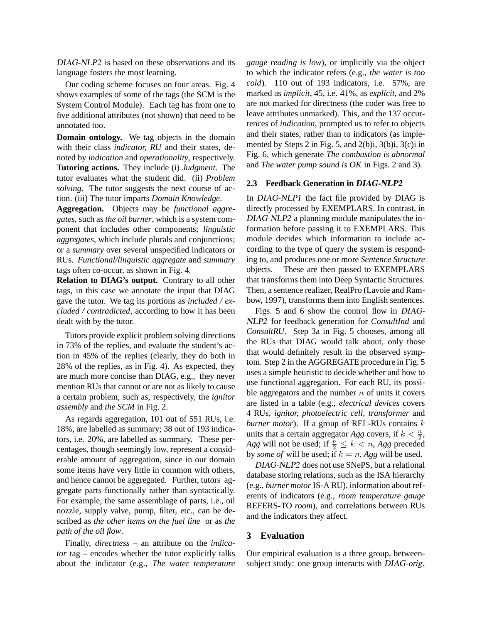DIAG-NLP2 is based on these observations and its language fosters the most learning.

Our coding scheme focuses on four areas. Fig. 4 shows examples of some of the tags (the SCM is the System Control Module). Each tag has from one to five additional attributes (not shown) that need to be annotated too.

**Domain ontology.** We tag objects in the domain with their class *indicator, RU* and their states, denoted by *indication* and *operationality*, respectively. **Tutoring actions.** They include (i) *Judgment*. The tutor evaluates what the student did. (ii) *Problem solving*. The tutor suggests the next course of action. (iii) The tutor imparts *Domain Knowledge*.

**Aggregation.** Objects may be *functional aggregates*, such as *the oil burner*, which is a system component that includes other components; *linguistic aggregates*, which include plurals and conjunctions; or a *summary* over several unspecified indicators or RUs. *Functional/linguistic aggregate* and *summary* tags often co-occur, as shown in Fig. 4.

**Relation to DIAG's output.** Contrary to all other tags, in this case we annotate the input that DIAG gave the tutor. We tag its portions as *included / excluded / contradicted*, according to how it has been dealt with by the tutor.

Tutors provide explicit problem solving directions in 73% of the replies, and evaluate the student's action in 45% of the replies (clearly, they do both in 28% of the replies, as in Fig. 4). As expected, they are much more concise than DIAG, e.g., they never mention RUs that cannot or are not as likely to cause a certain problem, such as, respectively, the *ignitor assembly* and *the SCM* in Fig. 2.

As regards aggregation, 101 out of 551 RUs, i.e. 18%, are labelled as summary; 38 out of 193 indicators, i.e. 20%, are labelled as summary. These percentages, though seemingly low, represent a considerable amount of aggregation, since in our domain some items have very little in common with others, and hence cannot be aggregated. Further, tutors aggregate parts functionally rather than syntactically. For example, the same assemblage of parts, i.e., oil nozzle, supply valve, pump, filter, etc., can be described as *the other items on the fuel line* or as *the path of the oil flow*.

Finally, *directness* – an attribute on the *indicator* tag – encodes whether the tutor explicitly talks about the indicator (e.g., *The water temperature* *gauge reading is low*), or implicitly via the object to which the indicator refers (e.g., *the water is too cold*). 110 out of 193 indicators, i.e. 57%, are marked as *implicit*, 45, i.e. 41%, as *explicit*, and 2% are not marked for directness (the coder was free to leave attributes unmarked). This, and the 137 occurrences of *indication*, prompted us to refer to objects and their states, rather than to indicators (as implemented by Steps 2 in Fig. 5, and 2(b)i, 3(b)i, 3(c)i in Fig. 6, which generate *The combustion is abnormal* and *The water pump sound is OK* in Figs. 2 and 3).

#### **2.3 Feedback Generation in** DIAG-NLP2

In DIAG-NLP1 the fact file provided by DIAG is directly processed by EXEMPLARS. In contrast, in DIAG-NLP2 a planning module manipulates the information before passing it to EXEMPLARS. This module decides which information to include according to the type of query the system is responding to, and produces one or more *Sentence Structure* objects. These are then passed to EXEMPLARS that transforms them into Deep Syntactic Structures. Then, a sentence realizer, RealPro (Lavoie and Rambow, 1997), transforms them into English sentences.

Figs. 5 and 6 show the control flow in DIAG-NLP2 for feedback generation for *ConsultInd* and *ConsultRU*. Step 3a in Fig. 5 chooses, among all the RUs that DIAG would talk about, only those that would definitely result in the observed symptom. Step 2 in the AGGREGATE procedure in Fig. 5 uses a simple heuristic to decide whether and how to use functional aggregation. For each RU, its possible aggregators and the number  $n$  of units it covers are listed in a table (e.g., *electrical devices* covers 4 RUs, *ignitor, photoelectric cell, transformer* and *burner motor*). If a group of REL-RUs contains k units that a certain aggregator *Agg* covers, if  $k < \frac{n}{2}$ , *Agg* will not be used; if  $\frac{n}{2} \leq k < n$ , *Agg* preceded by *some of* will be used; if  $k = n$ , *Agg* will be used.

DIAG-NLP2 does not use SNePS, but a relational database storing relations, such as the ISA hierarchy (e.g., *burner motor* IS-A RU), information about referents of indicators (e.g., *room temperature gauge* REFERS-TO *room*), and correlations between RUs and the indicators they affect.

### **3 Evaluation**

Our empirical evaluation is a three group, betweensubject study: one group interacts with DIAG-orig,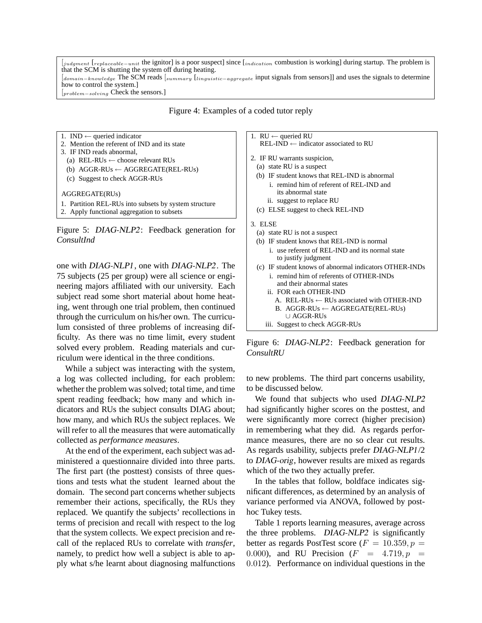[judgment [replaceable−unit the ignitor] is a poor suspect] since [indication combustion is working] during startup. The problem is that the SCM is shutting the system off during heating. [domain−knowledge The SCM reads [summary [linguistic−aggregate input signals from sensors]] and uses the signals to determine how to control the system.] [problem−solving Check the sensors.]

Figure 4: Examples of a coded tutor reply

1. IND  $\leftarrow$  queried indicator

- 2. Mention the referent of IND and its state 3. IF IND reads abnormal,
- (a) REL-RUs  $\leftarrow$  choose relevant RUs
- (b) AGGR-RUs ← AGGREGATE(REL-RUs)
- (c) Suggest to check AGGR-RUs

AGGREGATE(RUs)

1. Partition REL-RUs into subsets by system structure

2. Apply functional aggregation to subsets



one with DIAG-NLP1, one with DIAG-NLP2. The 75 subjects (25 per group) were all science or engineering majors affiliated with our university. Each subject read some short material about home heating, went through one trial problem, then continued through the curriculum on his/her own. The curriculum consisted of three problems of increasing difficulty. As there was no time limit, every student solved every problem. Reading materials and curriculum were identical in the three conditions.

While a subject was interacting with the system, a log was collected including, for each problem: whether the problem was solved; total time, and time spent reading feedback; how many and which indicators and RUs the subject consults DIAG about; how many, and which RUs the subject replaces. We will refer to all the measures that were automatically collected as *performance measures*.

At the end of the experiment, each subject was administered a questionnaire divided into three parts. The first part (the posttest) consists of three questions and tests what the student learned about the domain. The second part concerns whether subjects remember their actions, specifically, the RUs they replaced. We quantify the subjects' recollections in terms of precision and recall with respect to the log that the system collects. We expect precision and recall of the replaced RUs to correlate with *transfer*, namely, to predict how well a subject is able to apply what s/he learnt about diagnosing malfunctions 1.  $RU \leftarrow$  queried RU  $REL-IND \leftarrow \text{indicator associated to RU}$ 

2. IF RU warrants suspicion,

- (a) state RU is a suspect
- (b) IF student knows that REL-IND is abnormal
	- i. remind him of referent of REL-IND and its abnormal state
	- ii. suggest to replace RU
- (c) ELSE suggest to check REL-IND

#### 3. ELSE

- (a) state RU is not a suspect
- (b) IF student knows that REL-IND is normal i. use referent of REL-IND and its normal state to justify judgment
- (c) IF student knows of abnormal indicators OTHER-INDs i. remind him of referents of OTHER-INDs
	- and their abnormal states ii. FOR each OTHER-IND
		- A. REL-RUs  $\leftarrow$  RUs associated with OTHER-IND
		- B. AGGR-RUs  $\leftarrow$  AGGREGATE(REL-RUs)

#### ∪ AGGR-RUs

iii. Suggest to check AGGR-RUs

Figure 6: DIAG-NLP2: Feedback generation for *ConsultRU*

to new problems. The third part concerns usability, to be discussed below.

We found that subjects who used DIAG-NLP2 had significantly higher scores on the posttest, and were significantly more correct (higher precision) in remembering what they did. As regards performance measures, there are no so clear cut results. As regards usability, subjects prefer DIAG-NLP1/2 to DIAG-orig, however results are mixed as regards which of the two they actually prefer.

In the tables that follow, boldface indicates significant differences, as determined by an analysis of variance performed via ANOVA, followed by posthoc Tukey tests.

Table 1 reports learning measures, average across the three problems. DIAG-NLP2 is significantly better as regards PostTest score ( $F = 10.359, p =$ 0.000), and RU Precision  $(F = 4.719, p = 0.000)$ 0.012). Performance on individual questions in the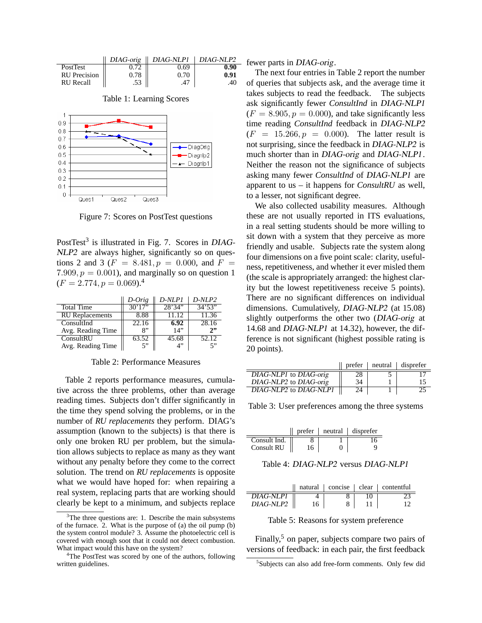|                     |      | $DIAG\text{-}orig$    $DIAG\text{-}NLP1$   $DIAG\text{-}NLP2$ |      |
|---------------------|------|---------------------------------------------------------------|------|
| PostTest            |      | 0.69                                                          | 0.90 |
| <b>RU</b> Precision | 0.78 | 0 70                                                          | 0.91 |
| <b>RU</b> Recall    |      |                                                               |      |

Table 1: Learning Scores



Figure 7: Scores on PostTest questions

PostTest<sup>3</sup> is illustrated in Fig. 7. Scores in DIAG-NLP2 are always higher, significantly so on questions 2 and 3 ( $F = 8.481, p = 0.000$ , and  $F =$ 7.909,  $p = 0.001$ ), and marginally so on question 1  $(F = 2.774, p = 0.069).$ <sup>4</sup>

|                        | D-Orig  | D-NLP1  | D-NLP2  |
|------------------------|---------|---------|---------|
| <b>Total Time</b>      | 30'17'' | 28'34'' | 34'53'' |
| <b>RU</b> Replacements | 8.88    | 11.12   | 11.36   |
| ConsultInd             | 22.16   | 6.92    | 28.16   |
| Avg. Reading Time      | R"      | 14"     | 2       |
| ConsultRIJ             | 63.52   | 45.68   | 52.12   |
| Avg. Reading Time      | 5"      | 4"      | 5"      |

Table 2: Performance Measures

Table 2 reports performance measures, cumulative across the three problems, other than average reading times. Subjects don't differ significantly in the time they spend solving the problems, or in the number of *RU replacements* they perform. DIAG's assumption (known to the subjects) is that there is only one broken RU per problem, but the simulation allows subjects to replace as many as they want without any penalty before they come to the correct solution. The trend on *RU replacements* is opposite what we would have hoped for: when repairing a real system, replacing parts that are working should clearly be kept to a minimum, and subjects replace

 $=$  fewer parts in DIAG-orig.

The next four entries in Table 2 report the number of queries that subjects ask, and the average time it takes subjects to read the feedback. The subjects ask significantly fewer *ConsultInd* in DIAG-NLP1  $(F = 8.905, p = 0.000)$ , and take significantly less time reading *ConsultInd* feedback in DIAG-NLP2  $(F = 15.266, p = 0.000)$ . The latter result is not surprising, since the feedback in DIAG-NLP2 is much shorter than in DIAG-orig and DIAG-NLP1. Neither the reason not the significance of subjects asking many fewer *ConsultInd* of DIAG-NLP1 are apparent to us – it happens for *ConsultRU* as well, to a lesser, not significant degree.

We also collected usability measures. Although these are not usually reported in ITS evaluations, in a real setting students should be more willing to sit down with a system that they perceive as more friendly and usable. Subjects rate the system along four dimensions on a five point scale: clarity, usefulness, repetitiveness, and whether it ever misled them (the scale is appropriately arranged: the highest clarity but the lowest repetitiveness receive 5 points). There are no significant differences on individual dimensions. Cumulatively, DIAG-NLP2 (at 15.08) slightly outperforms the other two (DIAG-orig at 14.68 and DIAG-NLP1 at 14.32), however, the difference is not significant (highest possible rating is 20 points).

|                        |    | $\parallel$ prefer $\parallel$ neutral $\parallel$ disprefer |
|------------------------|----|--------------------------------------------------------------|
| DIAG-NLP1 to DIAG-orig | 28 |                                                              |
| DIAG-NLP2 to DIAG-orig | 34 | 15.                                                          |
| DIAG-NLP2 to DIAG-NLP1 | 24 |                                                              |

Table 3: User preferences among the three systems

|              |  | $\alpha$ prefer   neutral   disprefer |
|--------------|--|---------------------------------------|
| Consult Ind. |  |                                       |
| Consult RU   |  |                                       |

Table 4: DIAG-NLP2 versus DIAG-NLP1

|           |  | natural concise clear contentful |
|-----------|--|----------------------------------|
| DIAG-NLP1 |  |                                  |
| DIAG-NLP2 |  |                                  |

Table 5: Reasons for system preference

Finally,<sup>5</sup> on paper, subjects compare two pairs of versions of feedback: in each pair, the first feedback

 $3$ The three questions are: 1. Describe the main subsystems of the furnace. 2. What is the purpose of (a) the oil pump (b) the system control module? 3. Assume the photoelectric cell is covered with enough soot that it could not detect combustion. What impact would this have on the system?

<sup>&</sup>lt;sup>4</sup>The PostTest was scored by one of the authors, following written guidelines.

<sup>&</sup>lt;sup>5</sup>Subjects can also add free-form comments. Only few did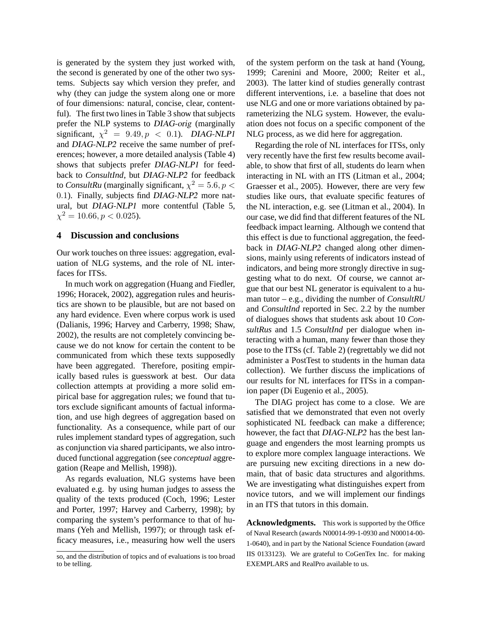is generated by the system they just worked with, the second is generated by one of the other two systems. Subjects say which version they prefer, and why (they can judge the system along one or more of four dimensions: natural, concise, clear, contentful). The first two lines in Table 3 show that subjects prefer the NLP systems to DIAG-orig (marginally significant,  $\chi^2 = 9.49, p < 0.1$ ). DIAG-NLP1 and DIAG-NLP2 receive the same number of preferences; however, a more detailed analysis (Table 4) shows that subjects prefer DIAG-NLP1 for feedback to *ConsultInd*, but DIAG-NLP2 for feedback to *ConsultRu* (marginally significant,  $\chi^2 = 5.6, p <$ 0.1). Finally, subjects find DIAG-NLP2 more natural, but DIAG-NLP1 more contentful (Table 5,  $\chi^2 = 10.66, p < 0.025$ ).

### **4 Discussion and conclusions**

Our work touches on three issues: aggregation, evaluation of NLG systems, and the role of NL interfaces for ITSs.

In much work on aggregation (Huang and Fiedler, 1996; Horacek, 2002), aggregation rules and heuristics are shown to be plausible, but are not based on any hard evidence. Even where corpus work is used (Dalianis, 1996; Harvey and Carberry, 1998; Shaw, 2002), the results are not completely convincing because we do not know for certain the content to be communicated from which these texts supposedly have been aggregated. Therefore, positing empirically based rules is guesswork at best. Our data collection attempts at providing a more solid empirical base for aggregation rules; we found that tutors exclude significant amounts of factual information, and use high degrees of aggregation based on functionality. As a consequence, while part of our rules implement standard types of aggregation, such as conjunction via shared participants, we also introduced functional aggregation (see *conceptual* aggregation (Reape and Mellish, 1998)).

As regards evaluation, NLG systems have been evaluated e.g. by using human judges to assess the quality of the texts produced (Coch, 1996; Lester and Porter, 1997; Harvey and Carberry, 1998); by comparing the system's performance to that of humans (Yeh and Mellish, 1997); or through task efficacy measures, i.e., measuring how well the users of the system perform on the task at hand (Young, 1999; Carenini and Moore, 2000; Reiter et al., 2003). The latter kind of studies generally contrast different interventions, i.e. a baseline that does not use NLG and one or more variations obtained by parameterizing the NLG system. However, the evaluation does not focus on a specific component of the NLG process, as we did here for aggregation.

Regarding the role of NL interfaces for ITSs, only very recently have the first few results become available, to show that first of all, students do learn when interacting in NL with an ITS (Litman et al., 2004; Graesser et al., 2005). However, there are very few studies like ours, that evaluate specific features of the NL interaction, e.g. see (Litman et al., 2004). In our case, we did find that different features of the NL feedback impact learning. Although we contend that this effect is due to functional aggregation, the feedback in DIAG-NLP2 changed along other dimensions, mainly using referents of indicators instead of indicators, and being more strongly directive in suggesting what to do next. Of course, we cannot argue that our best NL generator is equivalent to a human tutor – e.g., dividing the number of *ConsultRU* and *ConsultInd* reported in Sec. 2.2 by the number of dialogues shows that students ask about 10 *ConsultRus* and 1.5 *ConsultInd* per dialogue when interacting with a human, many fewer than those they pose to the ITSs (cf. Table 2) (regrettably we did not administer a PostTest to students in the human data collection). We further discuss the implications of our results for NL interfaces for ITSs in a companion paper (Di Eugenio et al., 2005).

The DIAG project has come to a close. We are satisfied that we demonstrated that even not overly sophisticated NL feedback can make a difference; however, the fact that DIAG-NLP2 has the best language and engenders the most learning prompts us to explore more complex language interactions. We are pursuing new exciting directions in a new domain, that of basic data structures and algorithms. We are investigating what distinguishes expert from novice tutors, and we will implement our findings in an ITS that tutors in this domain.

**Acknowledgments.** This work is supported by the Office of Naval Research (awards N00014-99-1-0930 and N00014-00- 1-0640), and in part by the National Science Foundation (award IIS 0133123). We are grateful to CoGenTex Inc. for making EXEMPLARS and RealPro available to us.

so, and the distribution of topics and of evaluations is too broad to be telling.